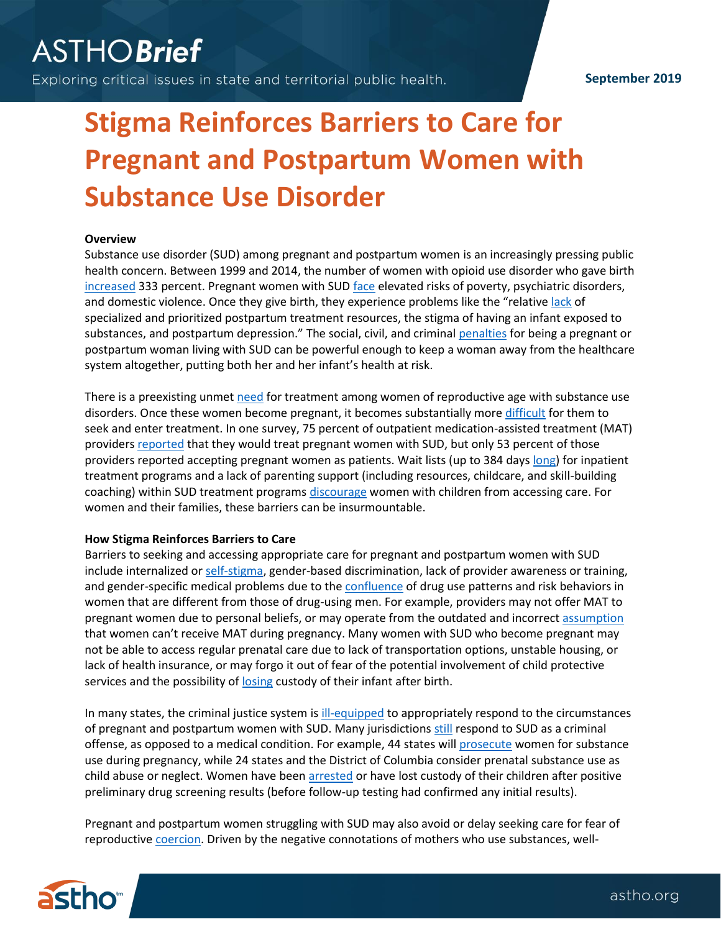## **September 2019**

# **Stigma Reinforces Barriers to Care for Pregnant and Postpartum Women with Substance Use Disorder**

## **Overview**

Substance use disorder (SUD) among pregnant and postpartum women is an increasingly pressing public health concern. Between 1999 and 2014, the number of women with opioid use disorder who gave birth [increased](https://www.ncbi.nlm.nih.gov/pmc/articles/PMC6089335/) 333 percent. Pregnant women with SUD [face](https://journals.lww.com/greenjournal/Fulltext/2009/06000/Methamphetamine_Use_Among_Pregnant_Women.14.aspx) elevated risks of poverty, psychiatric disorders, and domestic violence. Once they give birth, they experience problems like the "relative [lack](https://nashp.org/wp-content/uploads/2018/10/NOSLO-Opioids-and-Women-Final.pdf) of specialized and prioritized postpartum treatment resources, the stigma of having an infant exposed to substances, and postpartum depression." The social, civil, and crimina[l penalties](https://www.buzzfeednews.com/article/azeenghorayshi/pregnant-women-opioid-use-disorder) for being a pregnant or postpartum woman living with SUD can be powerful enough to keep a woman away from the healthcare system altogether, putting both her and her infant's health at risk.

There is a preexisting unmet [need](https://www.tandfonline.com/doi/abs/10.1080/10550887.2012.735566) for treatment among women of reproductive age with substance use disorders. Once these women become pregnant, it becomes substantially more [difficult](https://www.drugabuse.gov/publications/principles-drug-addiction-treatment-research-based-guide-second-edition/frequently-asked-questions/what-are-unique-needs-pregnant-women) for them to seek and enter treatment. In one survey, 75 percent of outpatient medication-assisted treatment (MAT) providers [reported](https://www.tandfonline.com/doi/abs/10.1080/08897077.2018.1488336) that they would treat pregnant women with SUD, but only 53 percent of those providers reported accepting pregnant women as patients. Wait lists (up to 384 day[s long\)](https://www.sciencedirect.com/science/article/abs/pii/S0306460311000542) for inpatient treatment programs and a lack of parenting support (including resources, childcare, and skill-building coaching) within SUD treatment programs [discourage](https://journals.lww.com/cja/Abstract/2018/09000/Barriers_to_Treatment_for_Substance_Use_Disorders.5.aspx) women with children from accessing care. For women and their families, these barriers can be insurmountable.

#### **How Stigma Reinforces Barriers to Care**

Barriers to seeking and accessing appropriate care for pregnant and postpartum women with SUD include internalized o[r self-stigma,](https://www.npr.org/sections/health-shots/2014/05/11/310087402/addicted-and-pregnant-the-most-heart-wrenching-experience-of-my-life) gender-based discrimination, lack of provider awareness or training, and gender-specific medical problems due to the [confluence](https://www.tandfonline.com/doi/abs/10.1080/10550881003684582) of drug use patterns and risk behaviors in women that are different from those of drug-using men. For example, providers may not offer MAT to pregnant women due to personal beliefs, or may operate from the outdated and incorrect [assumption](https://www.ncbi.nlm.nih.gov/pmc/articles/PMC5457836/) that women can't receive MAT during pregnancy. Many women with SUD who become pregnant may not be able to access regular prenatal care due to lack of transportation options, unstable housing, or lack of health insurance, or may forgo it out of fear of the potential involvement of child protective services and the possibility o[f losing](https://journals.sagepub.com/doi/abs/10.1177/002204260303300202?journalCode=joda) custody of their infant after birth.

In many states, the criminal justice system is [ill-equipped](http://www.advocatesforpregnantwomen.org/issues/civilneg.htm) to appropriately respond to the circumstances of pregnant and postpartum women with SUD. Many jurisdiction[s still](https://www.statnews.com/2019/06/04/pregnant-women-substance-use-disorders-treatment-not-prison/) respond to SUD as a criminal offense, as opposed to a medical condition. For example, 44 states will [prosecute](https://www.healthaffairs.org/do/10.1377/hblog20180426.63403/full/) women for substance use during pregnancy, while 24 states and the District of Columbia consider prenatal substance use as child abuse or neglect. Women have been [arrested](https://www.ncbi.nlm.nih.gov/pmc/articles/PMC6120972/) or have lost custody of their children after positive preliminary drug screening results (before follow-up testing had confirmed any initial results).

Pregnant and postpartum women struggling with SUD may also avoid or delay seeking care for fear of reproductive [coercion.](https://www.ncbi.nlm.nih.gov/pmc/articles/PMC6120972/) Driven by the negative connotations of mothers who use substances, well-